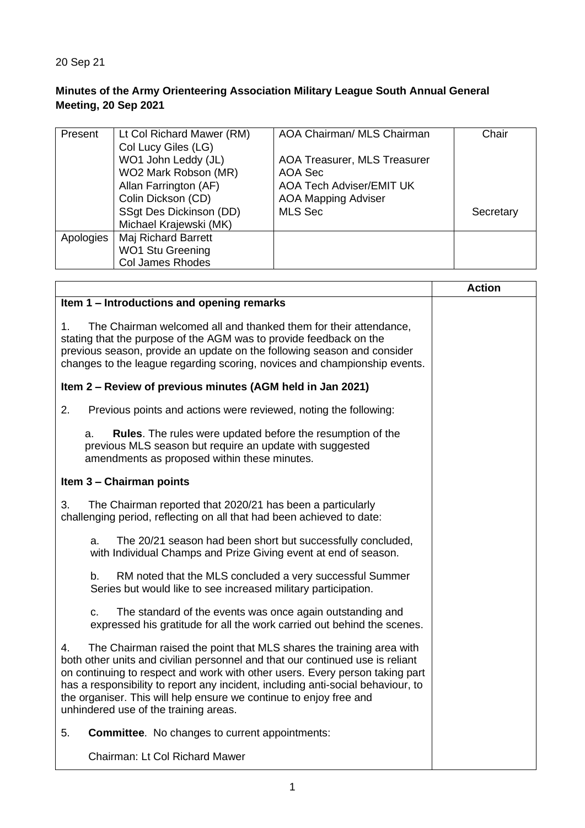## 20 Sep 21

## **Minutes of the Army Orienteering Association Military League South Annual General Meeting, 20 Sep 2021**

| Present   | Lt Col Richard Mawer (RM) | <b>AOA Chairman/ MLS Chairman</b>   | Chair     |
|-----------|---------------------------|-------------------------------------|-----------|
|           | Col Lucy Giles (LG)       |                                     |           |
|           | WO1 John Leddy (JL)       | <b>AOA Treasurer, MLS Treasurer</b> |           |
|           | WO2 Mark Robson (MR)      | AOA Sec                             |           |
|           | Allan Farrington (AF)     | <b>AOA Tech Adviser/EMIT UK</b>     |           |
|           | Colin Dickson (CD)        | <b>AOA Mapping Adviser</b>          |           |
|           | SSgt Des Dickinson (DD)   | <b>MLS Sec</b>                      | Secretary |
|           | Michael Krajewski (MK)    |                                     |           |
| Apologies | Maj Richard Barrett       |                                     |           |
|           | <b>WO1 Stu Greening</b>   |                                     |           |
|           | <b>Col James Rhodes</b>   |                                     |           |

|                                                                                                                                                                                                                                                                                                                                                                                                                                                | <b>Action</b> |
|------------------------------------------------------------------------------------------------------------------------------------------------------------------------------------------------------------------------------------------------------------------------------------------------------------------------------------------------------------------------------------------------------------------------------------------------|---------------|
| Item 1 - Introductions and opening remarks                                                                                                                                                                                                                                                                                                                                                                                                     |               |
| 1 <sub>1</sub><br>The Chairman welcomed all and thanked them for their attendance,<br>stating that the purpose of the AGM was to provide feedback on the<br>previous season, provide an update on the following season and consider<br>changes to the league regarding scoring, novices and championship events.                                                                                                                               |               |
| Item 2 – Review of previous minutes (AGM held in Jan 2021)                                                                                                                                                                                                                                                                                                                                                                                     |               |
| 2.<br>Previous points and actions were reviewed, noting the following:                                                                                                                                                                                                                                                                                                                                                                         |               |
| <b>Rules.</b> The rules were updated before the resumption of the<br>a.<br>previous MLS season but require an update with suggested<br>amendments as proposed within these minutes.                                                                                                                                                                                                                                                            |               |
| Item 3 - Chairman points                                                                                                                                                                                                                                                                                                                                                                                                                       |               |
| The Chairman reported that 2020/21 has been a particularly<br>3.<br>challenging period, reflecting on all that had been achieved to date:                                                                                                                                                                                                                                                                                                      |               |
| The 20/21 season had been short but successfully concluded,<br>a.<br>with Individual Champs and Prize Giving event at end of season.                                                                                                                                                                                                                                                                                                           |               |
| RM noted that the MLS concluded a very successful Summer<br>b.<br>Series but would like to see increased military participation.                                                                                                                                                                                                                                                                                                               |               |
| c.<br>The standard of the events was once again outstanding and<br>expressed his gratitude for all the work carried out behind the scenes.                                                                                                                                                                                                                                                                                                     |               |
| The Chairman raised the point that MLS shares the training area with<br>4.<br>both other units and civilian personnel and that our continued use is reliant<br>on continuing to respect and work with other users. Every person taking part<br>has a responsibility to report any incident, including anti-social behaviour, to<br>the organiser. This will help ensure we continue to enjoy free and<br>unhindered use of the training areas. |               |
| 5.<br><b>Committee.</b> No changes to current appointments:                                                                                                                                                                                                                                                                                                                                                                                    |               |
| <b>Chairman: Lt Col Richard Mawer</b>                                                                                                                                                                                                                                                                                                                                                                                                          |               |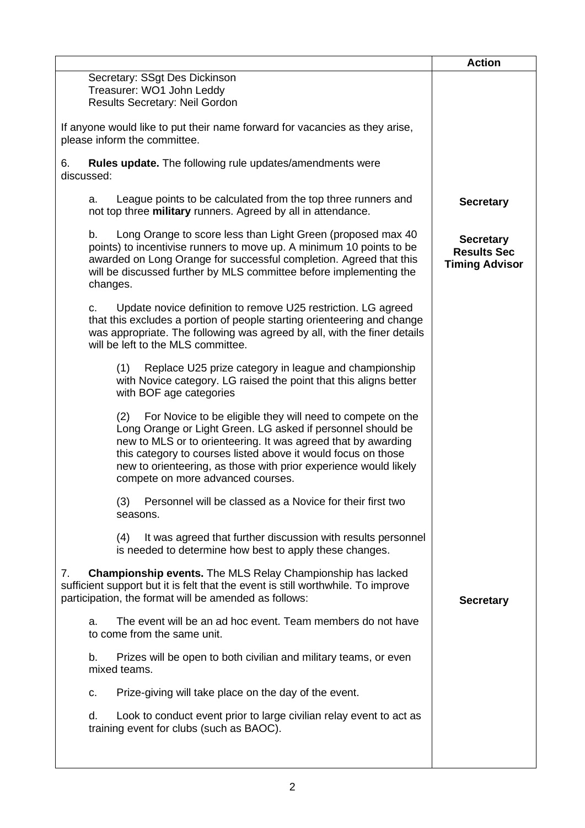|                                                                                                                                                                                                                                                                                                                                                                             | <b>Action</b>                                                   |
|-----------------------------------------------------------------------------------------------------------------------------------------------------------------------------------------------------------------------------------------------------------------------------------------------------------------------------------------------------------------------------|-----------------------------------------------------------------|
| Secretary: SSgt Des Dickinson<br>Treasurer: WO1 John Leddy<br>Results Secretary: Neil Gordon                                                                                                                                                                                                                                                                                |                                                                 |
| If anyone would like to put their name forward for vacancies as they arise,<br>please inform the committee.                                                                                                                                                                                                                                                                 |                                                                 |
| Rules update. The following rule updates/amendments were<br>6.<br>discussed:                                                                                                                                                                                                                                                                                                |                                                                 |
| League points to be calculated from the top three runners and<br>a.<br>not top three military runners. Agreed by all in attendance.                                                                                                                                                                                                                                         | <b>Secretary</b>                                                |
| Long Orange to score less than Light Green (proposed max 40<br>b.<br>points) to incentivise runners to move up. A minimum 10 points to be<br>awarded on Long Orange for successful completion. Agreed that this<br>will be discussed further by MLS committee before implementing the<br>changes.                                                                           | <b>Secretary</b><br><b>Results Sec</b><br><b>Timing Advisor</b> |
| Update novice definition to remove U25 restriction. LG agreed<br>C.<br>that this excludes a portion of people starting orienteering and change<br>was appropriate. The following was agreed by all, with the finer details<br>will be left to the MLS committee.                                                                                                            |                                                                 |
| Replace U25 prize category in league and championship<br>(1)<br>with Novice category. LG raised the point that this aligns better<br>with BOF age categories                                                                                                                                                                                                                |                                                                 |
| For Novice to be eligible they will need to compete on the<br>(2)<br>Long Orange or Light Green. LG asked if personnel should be<br>new to MLS or to orienteering. It was agreed that by awarding<br>this category to courses listed above it would focus on those<br>new to orienteering, as those with prior experience would likely<br>compete on more advanced courses. |                                                                 |
| Personnel will be classed as a Novice for their first two<br>(3)<br>seasons.                                                                                                                                                                                                                                                                                                |                                                                 |
| (4)<br>It was agreed that further discussion with results personnel<br>is needed to determine how best to apply these changes.                                                                                                                                                                                                                                              |                                                                 |
| Championship events. The MLS Relay Championship has lacked<br>7.<br>sufficient support but it is felt that the event is still worthwhile. To improve<br>participation, the format will be amended as follows:                                                                                                                                                               | <b>Secretary</b>                                                |
| The event will be an ad hoc event. Team members do not have<br>a.<br>to come from the same unit.                                                                                                                                                                                                                                                                            |                                                                 |
| Prizes will be open to both civilian and military teams, or even<br>b.<br>mixed teams.                                                                                                                                                                                                                                                                                      |                                                                 |
| Prize-giving will take place on the day of the event.<br>С.                                                                                                                                                                                                                                                                                                                 |                                                                 |
| Look to conduct event prior to large civilian relay event to act as<br>d.<br>training event for clubs (such as BAOC).                                                                                                                                                                                                                                                       |                                                                 |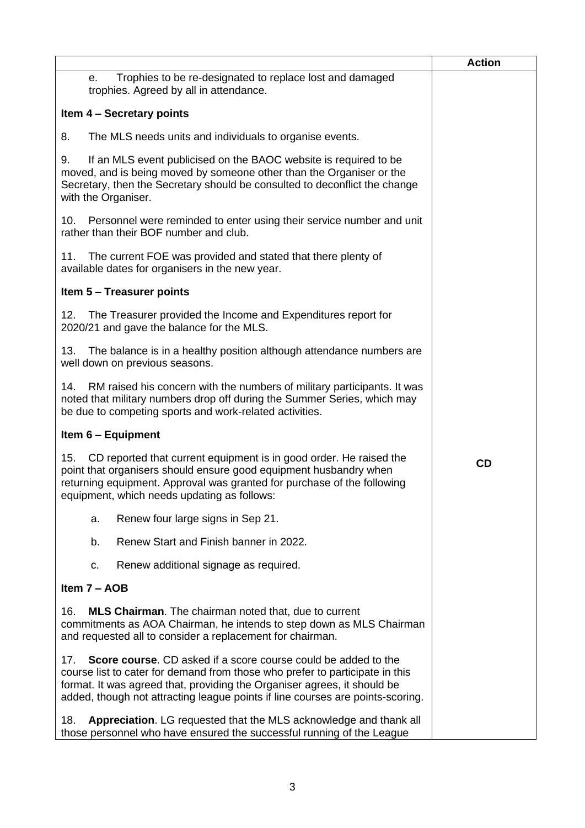|                                                                                                                                                                                                                                                                                                                            | <b>Action</b> |
|----------------------------------------------------------------------------------------------------------------------------------------------------------------------------------------------------------------------------------------------------------------------------------------------------------------------------|---------------|
| Trophies to be re-designated to replace lost and damaged<br>е.<br>trophies. Agreed by all in attendance.                                                                                                                                                                                                                   |               |
| Item 4 - Secretary points                                                                                                                                                                                                                                                                                                  |               |
| 8.<br>The MLS needs units and individuals to organise events.                                                                                                                                                                                                                                                              |               |
| If an MLS event publicised on the BAOC website is required to be<br>9.<br>moved, and is being moved by someone other than the Organiser or the<br>Secretary, then the Secretary should be consulted to deconflict the change<br>with the Organiser.                                                                        |               |
| Personnel were reminded to enter using their service number and unit<br>10.<br>rather than their BOF number and club.                                                                                                                                                                                                      |               |
| The current FOE was provided and stated that there plenty of<br>11.<br>available dates for organisers in the new year.                                                                                                                                                                                                     |               |
| Item 5 - Treasurer points                                                                                                                                                                                                                                                                                                  |               |
| The Treasurer provided the Income and Expenditures report for<br>12.<br>2020/21 and gave the balance for the MLS.                                                                                                                                                                                                          |               |
| The balance is in a healthy position although attendance numbers are<br>13.<br>well down on previous seasons.                                                                                                                                                                                                              |               |
| RM raised his concern with the numbers of military participants. It was<br>14.<br>noted that military numbers drop off during the Summer Series, which may<br>be due to competing sports and work-related activities.                                                                                                      |               |
| Item 6 - Equipment                                                                                                                                                                                                                                                                                                         |               |
| CD reported that current equipment is in good order. He raised the<br>15.<br>point that organisers should ensure good equipment husbandry when<br>returning equipment. Approval was granted for purchase of the following<br>equipment, which needs updating as follows:                                                   | <b>CD</b>     |
| Renew four large signs in Sep 21.<br>a.                                                                                                                                                                                                                                                                                    |               |
| Renew Start and Finish banner in 2022.<br>b.                                                                                                                                                                                                                                                                               |               |
| Renew additional signage as required.<br>c.                                                                                                                                                                                                                                                                                |               |
| Item 7 - AOB                                                                                                                                                                                                                                                                                                               |               |
| 16.<br><b>MLS Chairman.</b> The chairman noted that, due to current<br>commitments as AOA Chairman, he intends to step down as MLS Chairman<br>and requested all to consider a replacement for chairman.                                                                                                                   |               |
| <b>Score course.</b> CD asked if a score course could be added to the<br>17.<br>course list to cater for demand from those who prefer to participate in this<br>format. It was agreed that, providing the Organiser agrees, it should be<br>added, though not attracting league points if line courses are points-scoring. |               |
| Appreciation. LG requested that the MLS acknowledge and thank all<br>18.<br>those personnel who have ensured the successful running of the League                                                                                                                                                                          |               |